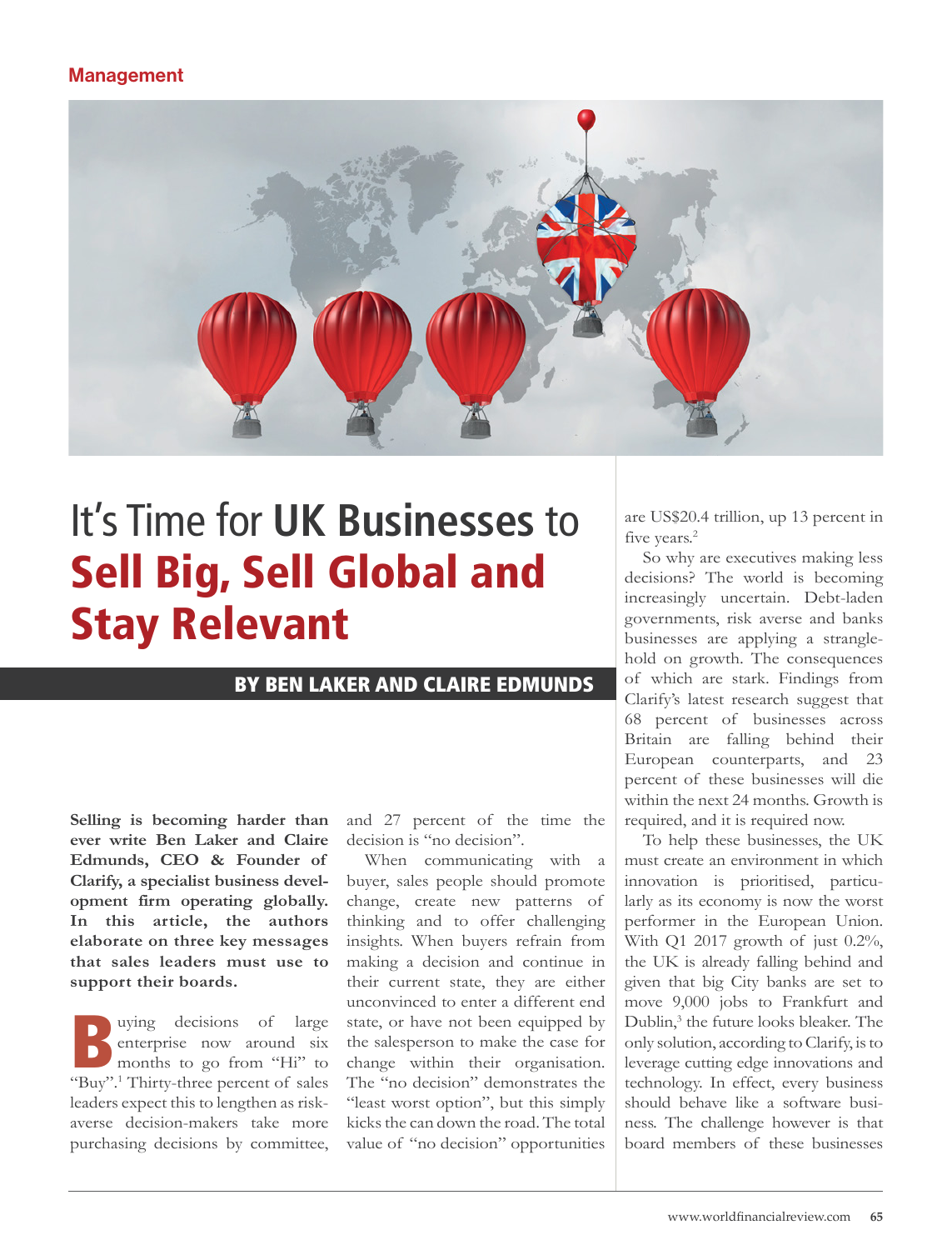## Management



# It's Time for **UK Businesses** to Sell Big, Sell Global and Stay Relevant

## BY BEN LAKER AND CLAIRE EDMUNDS

**Selling is becoming harder than ever write Ben Laker and Claire Edmunds, CEO & Founder of Clarify, a specialist business development firm operating globally. In this article, the authors elaborate on three key messages that sales leaders must use to support their boards.**

Buying decisions of large<br>
enterprise now around six<br>
months to go from "Hi" to<br>
"Buy"! Thirty three percent of seles enterprise now around six "Buy".<sup>1</sup> Thirty-three percent of sales leaders expect this to lengthen as riskaverse decision-makers take more purchasing decisions by committee,

and 27 percent of the time the decision is "no decision".

When communicating with a buyer, sales people should promote change, create new patterns of thinking and to offer challenging insights. When buyers refrain from making a decision and continue in their current state, they are either unconvinced to enter a different end state, or have not been equipped by the salesperson to make the case for change within their organisation. The "no decision" demonstrates the "least worst option", but this simply kicks the can down the road. The total value of "no decision" opportunities

are US\$20.4 trillion, up 13 percent in five years.<sup>2</sup>

So why are executives making less decisions? The world is becoming increasingly uncertain. Debt-laden governments, risk averse and banks businesses are applying a stranglehold on growth. The consequences of which are stark. Findings from Clarify's latest research suggest that 68 percent of businesses across Britain are falling behind their European counterparts, and 23 percent of these businesses will die within the next 24 months. Growth is required, and it is required now.

To help these businesses, the UK must create an environment in which innovation is prioritised, particularly as its economy is now the worst performer in the European Union. With Q1 2017 growth of just 0.2%, the UK is already falling behind and given that big City banks are set to move 9,000 jobs to Frankfurt and Dublin,<sup>3</sup> the future looks bleaker. The only solution, according to Clarify, is to leverage cutting edge innovations and technology. In effect, every business should behave like a software business. The challenge however is that board members of these businesses